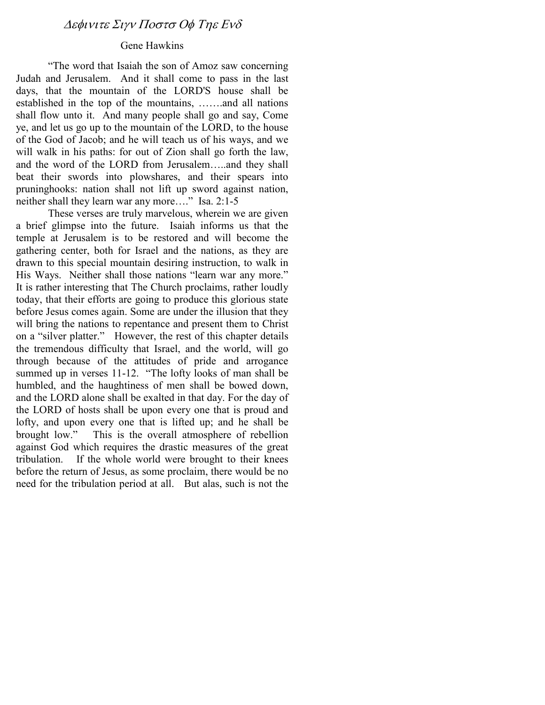## ∆εφινιτε Σιγν Ποστσ Οφ Τηε Ενδ

### Gene Hawkins

"The word that Isaiah the son of Amoz saw concerning Judah and Jerusalem. And it shall come to pass in the last days, that the mountain of the LORD'S house shall be established in the top of the mountains, …….and all nations shall flow unto it. And many people shall go and say, Come ye, and let us go up to the mountain of the LORD, to the house of the God of Jacob; and he will teach us of his ways, and we will walk in his paths: for out of Zion shall go forth the law, and the word of the LORD from Jerusalem…..and they shall beat their swords into plowshares, and their spears into pruninghooks: nation shall not lift up sword against nation, neither shall they learn war any more…." Isa. 2:1-5

These verses are truly marvelous, wherein we are given a brief glimpse into the future. Isaiah informs us that the temple at Jerusalem is to be restored and will become the gathering center, both for Israel and the nations, as they are drawn to this special mountain desiring instruction, to walk in His Ways. Neither shall those nations "learn war any more." It is rather interesting that The Church proclaims, rather loudly today, that their efforts are going to produce this glorious state before Jesus comes again. Some are under the illusion that they will bring the nations to repentance and present them to Christ on a "silver platter." However, the rest of this chapter details the tremendous difficulty that Israel, and the world, will go through because of the attitudes of pride and arrogance summed up in verses 11-12. "The lofty looks of man shall be humbled, and the haughtiness of men shall be bowed down, and the LORD alone shall be exalted in that day. For the day of the LORD of hosts shall be upon every one that is proud and lofty, and upon every one that is lifted up; and he shall be brought low." This is the overall atmosphere of rebellion against God which requires the drastic measures of the great tribulation. If the whole world were brought to their knees before the return of Jesus, as some proclaim, there would be no need for the tribulation period at all. But alas, such is not the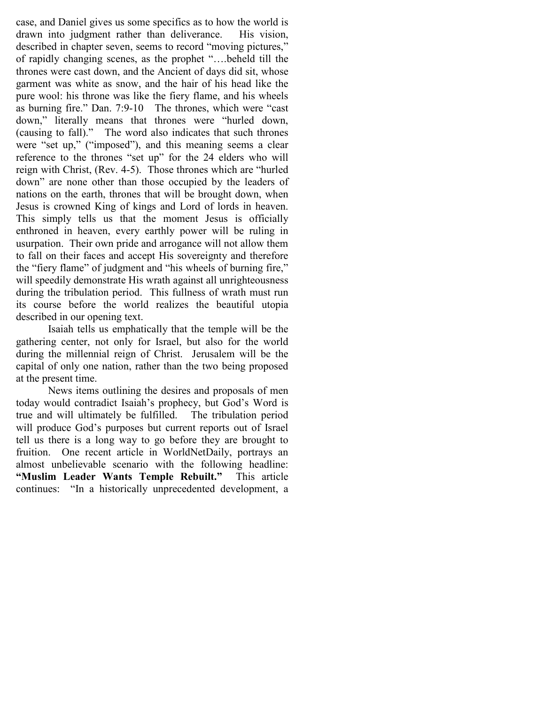case, and Daniel gives us some specifics as to how the world is drawn into judgment rather than deliverance. His vision, described in chapter seven, seems to record "moving pictures," of rapidly changing scenes, as the prophet "….beheld till the thrones were cast down, and the Ancient of days did sit, whose garment was white as snow, and the hair of his head like the pure wool: his throne was like the fiery flame, and his wheels as burning fire." Dan. 7:9-10 The thrones, which were "cast down," literally means that thrones were "hurled down, (causing to fall)." The word also indicates that such thrones were "set up," ("imposed"), and this meaning seems a clear reference to the thrones "set up" for the 24 elders who will reign with Christ, (Rev. 4-5). Those thrones which are "hurled down" are none other than those occupied by the leaders of nations on the earth, thrones that will be brought down, when Jesus is crowned King of kings and Lord of lords in heaven. This simply tells us that the moment Jesus is officially enthroned in heaven, every earthly power will be ruling in usurpation. Their own pride and arrogance will not allow them to fall on their faces and accept His sovereignty and therefore the "fiery flame" of judgment and "his wheels of burning fire," will speedily demonstrate His wrath against all unrighteousness during the tribulation period. This fullness of wrath must run its course before the world realizes the beautiful utopia described in our opening text.

Isaiah tells us emphatically that the temple will be the gathering center, not only for Israel, but also for the world during the millennial reign of Christ. Jerusalem will be the capital of only one nation, rather than the two being proposed at the present time.

News items outlining the desires and proposals of men today would contradict Isaiah's prophecy, but God's Word is true and will ultimately be fulfilled. The tribulation period will produce God's purposes but current reports out of Israel tell us there is a long way to go before they are brought to fruition. One recent article in WorldNetDaily, portrays an almost unbelievable scenario with the following headline: "Muslim Leader Wants Temple Rebuilt." This article continues: "In a historically unprecedented development, a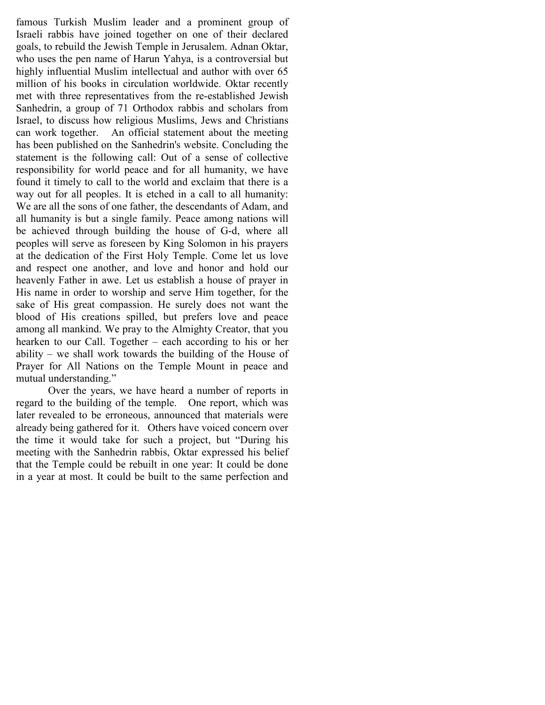famous Turkish Muslim leader and a prominent group of Israeli rabbis have joined together on one of their declared goals, to rebuild the Jewish Temple in Jerusalem. Adnan Oktar, who uses the pen name of Harun Yahya, is a controversial but highly influential Muslim intellectual and author with over 65 million of his books in circulation worldwide. Oktar recently met with three representatives from the re-established Jewish Sanhedrin, a group of 71 Orthodox rabbis and scholars from Israel, to discuss how religious Muslims, Jews and Christians can work together. An official statement about the meeting has been published on the Sanhedrin's website. Concluding the statement is the following call: Out of a sense of collective responsibility for world peace and for all humanity, we have found it timely to call to the world and exclaim that there is a way out for all peoples. It is etched in a call to all humanity: We are all the sons of one father, the descendants of Adam, and all humanity is but a single family. Peace among nations will be achieved through building the house of G-d, where all peoples will serve as foreseen by King Solomon in his prayers at the dedication of the First Holy Temple. Come let us love and respect one another, and love and honor and hold our heavenly Father in awe. Let us establish a house of prayer in His name in order to worship and serve Him together, for the sake of His great compassion. He surely does not want the blood of His creations spilled, but prefers love and peace among all mankind. We pray to the Almighty Creator, that you hearken to our Call. Together – each according to his or her ability – we shall work towards the building of the House of Prayer for All Nations on the Temple Mount in peace and mutual understanding."

Over the years, we have heard a number of reports in regard to the building of the temple. One report, which was later revealed to be erroneous, announced that materials were already being gathered for it. Others have voiced concern over the time it would take for such a project, but "During his meeting with the Sanhedrin rabbis, Oktar expressed his belief that the Temple could be rebuilt in one year: It could be done in a year at most. It could be built to the same perfection and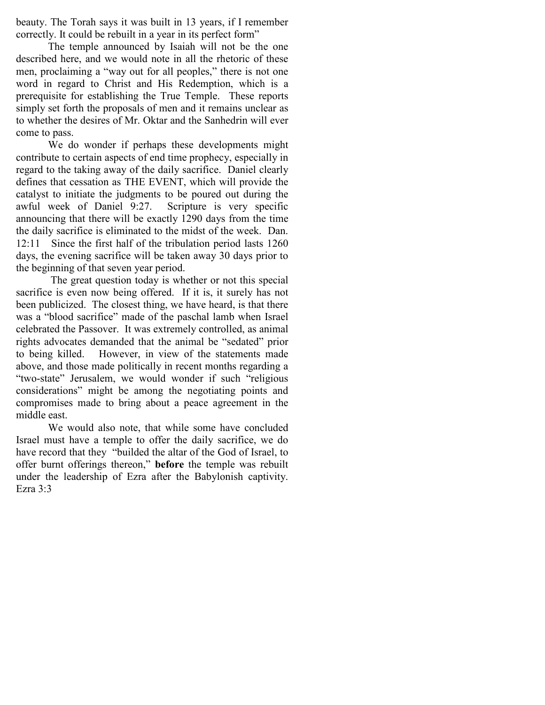beauty. The Torah says it was built in 13 years, if I remember correctly. It could be rebuilt in a year in its perfect form"

The temple announced by Isaiah will not be the one described here, and we would note in all the rhetoric of these men, proclaiming a "way out for all peoples," there is not one word in regard to Christ and His Redemption, which is a prerequisite for establishing the True Temple. These reports simply set forth the proposals of men and it remains unclear as to whether the desires of Mr. Oktar and the Sanhedrin will ever come to pass.

We do wonder if perhaps these developments might contribute to certain aspects of end time prophecy, especially in regard to the taking away of the daily sacrifice. Daniel clearly defines that cessation as THE EVENT, which will provide the catalyst to initiate the judgments to be poured out during the awful week of Daniel 9:27. Scripture is very specific announcing that there will be exactly 1290 days from the time the daily sacrifice is eliminated to the midst of the week. Dan. 12:11 Since the first half of the tribulation period lasts 1260 days, the evening sacrifice will be taken away 30 days prior to the beginning of that seven year period.

 The great question today is whether or not this special sacrifice is even now being offered. If it is, it surely has not been publicized. The closest thing, we have heard, is that there was a "blood sacrifice" made of the paschal lamb when Israel celebrated the Passover. It was extremely controlled, as animal rights advocates demanded that the animal be "sedated" prior to being killed. However, in view of the statements made above, and those made politically in recent months regarding a "two-state" Jerusalem, we would wonder if such "religious considerations" might be among the negotiating points and compromises made to bring about a peace agreement in the middle east.

We would also note, that while some have concluded Israel must have a temple to offer the daily sacrifice, we do have record that they "builded the altar of the God of Israel, to offer burnt offerings thereon," before the temple was rebuilt under the leadership of Ezra after the Babylonish captivity. Ezra 3:3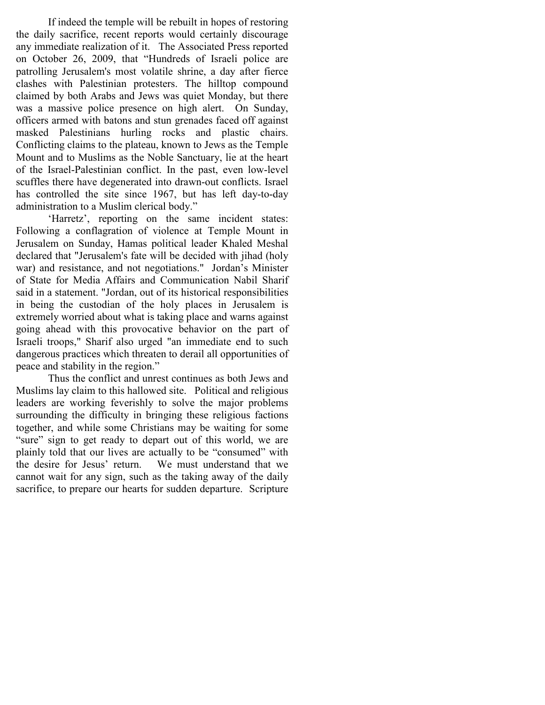If indeed the temple will be rebuilt in hopes of restoring the daily sacrifice, recent reports would certainly discourage any immediate realization of it. The Associated Press reported on October 26, 2009, that "Hundreds of Israeli police are patrolling Jerusalem's most volatile shrine, a day after fierce clashes with Palestinian protesters. The hilltop compound claimed by both Arabs and Jews was quiet Monday, but there was a massive police presence on high alert. On Sunday, officers armed with batons and stun grenades faced off against masked Palestinians hurling rocks and plastic chairs. Conflicting claims to the plateau, known to Jews as the Temple Mount and to Muslims as the Noble Sanctuary, lie at the heart of the Israel-Palestinian conflict. In the past, even low-level scuffles there have degenerated into drawn-out conflicts. Israel has controlled the site since 1967, but has left day-to-day administration to a Muslim clerical body."

'Harretz', reporting on the same incident states: Following a conflagration of violence at Temple Mount in Jerusalem on Sunday, Hamas political leader Khaled Meshal declared that "Jerusalem's fate will be decided with jihad (holy war) and resistance, and not negotiations." Jordan's Minister of State for Media Affairs and Communication Nabil Sharif said in a statement. "Jordan, out of its historical responsibilities in being the custodian of the holy places in Jerusalem is extremely worried about what is taking place and warns against going ahead with this provocative behavior on the part of Israeli troops," Sharif also urged "an immediate end to such dangerous practices which threaten to derail all opportunities of peace and stability in the region."

Thus the conflict and unrest continues as both Jews and Muslims lay claim to this hallowed site. Political and religious leaders are working feverishly to solve the major problems surrounding the difficulty in bringing these religious factions together, and while some Christians may be waiting for some "sure" sign to get ready to depart out of this world, we are plainly told that our lives are actually to be "consumed" with the desire for Jesus' return. We must understand that we cannot wait for any sign, such as the taking away of the daily sacrifice, to prepare our hearts for sudden departure. Scripture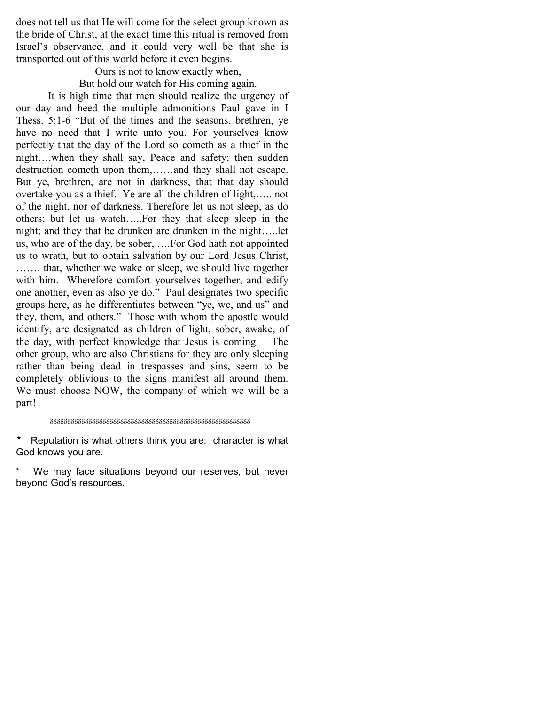does not tell us that He will come for the select group known as the bride of Christ, at the exact time this ritual is removed from Israel's observance, and it could very well be that she is transported out of this world before it even begins.

> Ours is not to know exactly when, But hold our watch for His coming again.

It is high time that men should realize the urgency of our day and heed the multiple admonitions Paul gave in I Thess. 5:1-6 "But of the times and the seasons, brethren, ye have no need that I write unto you. For yourselves know perfectly that the day of the Lord so cometh as a thief in the night….when they shall say, Peace and safety; then sudden destruction cometh upon them,……and they shall not escape. But ye, brethren, are not in darkness, that that day should overtake you as a thief. Ye are all the children of light,….. not of the night, nor of darkness. Therefore let us not sleep, as do others; but let us watch…..For they that sleep sleep in the night; and they that be drunken are drunken in the night…..let us, who are of the day, be sober, ….For God hath not appointed us to wrath, but to obtain salvation by our Lord Jesus Christ, ……. that, whether we wake or sleep, we should live together with him. Wherefore comfort yourselves together, and edify one another, even as also ye do." Paul designates two specific groups here, as he differentiates between "ye, we, and us" and they, them, and others." Those with whom the apostle would identify, are designated as children of light, sober, awake, of the day, with perfect knowledge that Jesus is coming. The other group, who are also Christians for they are only sleeping rather than being dead in trespasses and sins, seem to be completely oblivious to the signs manifest all around them. We must choose NOW, the company of which we will be a part!

#### δδδδδδδδδδδδδδδδδδδδδδδδδδδδδδδδδδδδδδδδδδδδδδδδδδδδδδδδδ

\* Reputation is what others think you are: character is what God knows you are.

We may face situations beyond our reserves, but never beyond God's resources.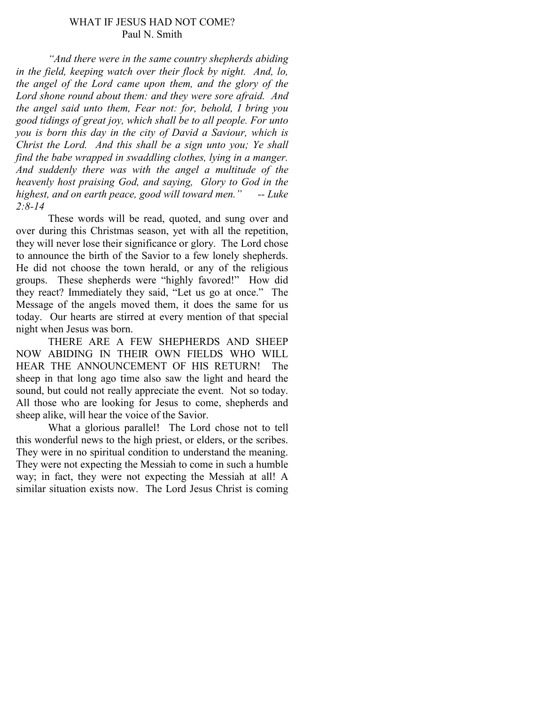### WHAT IF JESUS HAD NOT COME? Paul N. Smith

"And there were in the same country shepherds abiding in the field, keeping watch over their flock by night. And, lo, the angel of the Lord came upon them, and the glory of the Lord shone round about them: and they were sore afraid. And the angel said unto them, Fear not: for, behold, I bring you good tidings of great joy, which shall be to all people. For unto you is born this day in the city of David a Saviour, which is Christ the Lord. And this shall be a sign unto you; Ye shall find the babe wrapped in swaddling clothes, lying in a manger. And suddenly there was with the angel a multitude of the heavenly host praising God, and saying, Glory to God in the highest, and on earth peace, good will toward men."  $-$ - Luke  $2:8 - 14$ 

 These words will be read, quoted, and sung over and over during this Christmas season, yet with all the repetition, they will never lose their significance or glory. The Lord chose to announce the birth of the Savior to a few lonely shepherds. He did not choose the town herald, or any of the religious groups. These shepherds were "highly favored!" How did they react? Immediately they said, "Let us go at once." The Message of the angels moved them, it does the same for us today. Our hearts are stirred at every mention of that special night when Jesus was born.

 THERE ARE A FEW SHEPHERDS AND SHEEP NOW ABIDING IN THEIR OWN FIELDS WHO WILL HEAR THE ANNOUNCEMENT OF HIS RETURN! The sheep in that long ago time also saw the light and heard the sound, but could not really appreciate the event. Not so today. All those who are looking for Jesus to come, shepherds and sheep alike, will hear the voice of the Savior.

 What a glorious parallel! The Lord chose not to tell this wonderful news to the high priest, or elders, or the scribes. They were in no spiritual condition to understand the meaning. They were not expecting the Messiah to come in such a humble way; in fact, they were not expecting the Messiah at all! A similar situation exists now. The Lord Jesus Christ is coming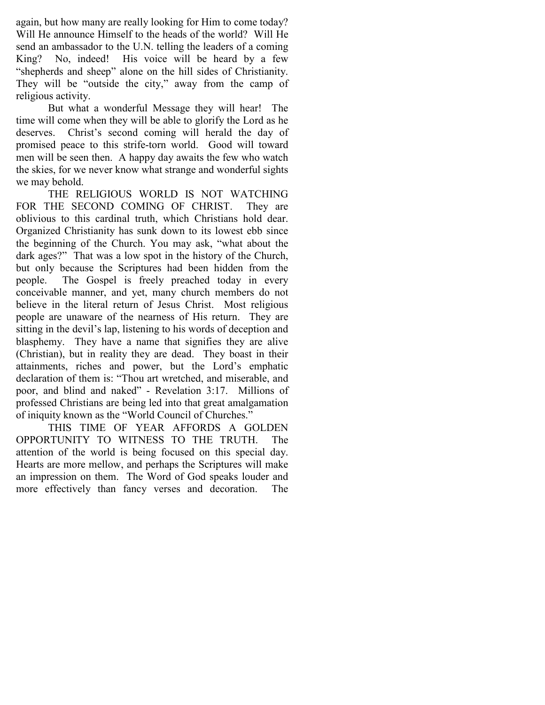again, but how many are really looking for Him to come today? Will He announce Himself to the heads of the world? Will He send an ambassador to the U.N. telling the leaders of a coming King? No, indeed! His voice will be heard by a few "shepherds and sheep" alone on the hill sides of Christianity. They will be "outside the city," away from the camp of religious activity.

 But what a wonderful Message they will hear! The time will come when they will be able to glorify the Lord as he deserves. Christ's second coming will herald the day of promised peace to this strife-torn world. Good will toward men will be seen then. A happy day awaits the few who watch the skies, for we never know what strange and wonderful sights we may behold.

 THE RELIGIOUS WORLD IS NOT WATCHING FOR THE SECOND COMING OF CHRIST. They are oblivious to this cardinal truth, which Christians hold dear. Organized Christianity has sunk down to its lowest ebb since the beginning of the Church. You may ask, "what about the dark ages?" That was a low spot in the history of the Church, but only because the Scriptures had been hidden from the people. The Gospel is freely preached today in every conceivable manner, and yet, many church members do not believe in the literal return of Jesus Christ. Most religious people are unaware of the nearness of His return. They are sitting in the devil's lap, listening to his words of deception and blasphemy. They have a name that signifies they are alive (Christian), but in reality they are dead. They boast in their attainments, riches and power, but the Lord's emphatic declaration of them is: "Thou art wretched, and miserable, and poor, and blind and naked" - Revelation 3:17. Millions of professed Christians are being led into that great amalgamation of iniquity known as the "World Council of Churches."

 THIS TIME OF YEAR AFFORDS A GOLDEN OPPORTUNITY TO WITNESS TO THE TRUTH. The attention of the world is being focused on this special day. Hearts are more mellow, and perhaps the Scriptures will make an impression on them. The Word of God speaks louder and more effectively than fancy verses and decoration. The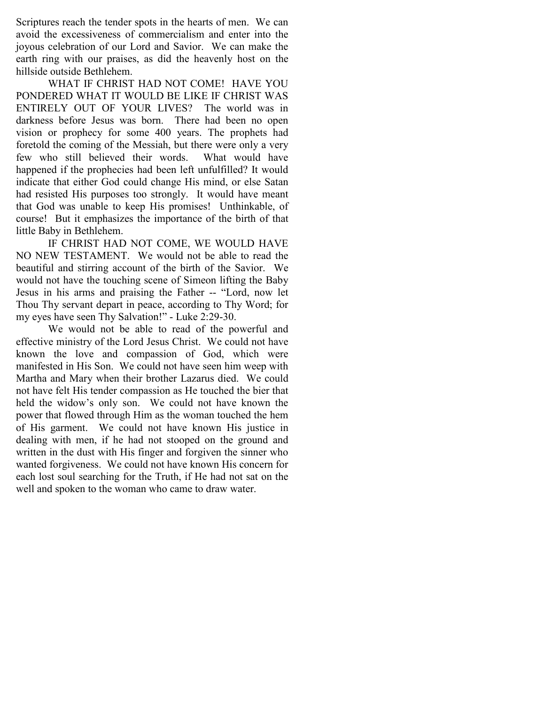Scriptures reach the tender spots in the hearts of men. We can avoid the excessiveness of commercialism and enter into the joyous celebration of our Lord and Savior. We can make the earth ring with our praises, as did the heavenly host on the hillside outside Bethlehem.

 WHAT IF CHRIST HAD NOT COME! HAVE YOU PONDERED WHAT IT WOULD BE LIKE IF CHRIST WAS ENTIRELY OUT OF YOUR LIVES? The world was in darkness before Jesus was born. There had been no open vision or prophecy for some 400 years. The prophets had foretold the coming of the Messiah, but there were only a very few who still believed their words. What would have happened if the prophecies had been left unfulfilled? It would indicate that either God could change His mind, or else Satan had resisted His purposes too strongly. It would have meant that God was unable to keep His promises! Unthinkable, of course! But it emphasizes the importance of the birth of that little Baby in Bethlehem.

IF CHRIST HAD NOT COME, WE WOULD HAVE NO NEW TESTAMENT. We would not be able to read the beautiful and stirring account of the birth of the Savior. We would not have the touching scene of Simeon lifting the Baby Jesus in his arms and praising the Father -- "Lord, now let Thou Thy servant depart in peace, according to Thy Word; for my eyes have seen Thy Salvation!" - Luke 2:29-30.

 We would not be able to read of the powerful and effective ministry of the Lord Jesus Christ. We could not have known the love and compassion of God, which were manifested in His Son. We could not have seen him weep with Martha and Mary when their brother Lazarus died. We could not have felt His tender compassion as He touched the bier that held the widow's only son. We could not have known the power that flowed through Him as the woman touched the hem of His garment. We could not have known His justice in dealing with men, if he had not stooped on the ground and written in the dust with His finger and forgiven the sinner who wanted forgiveness. We could not have known His concern for each lost soul searching for the Truth, if He had not sat on the well and spoken to the woman who came to draw water.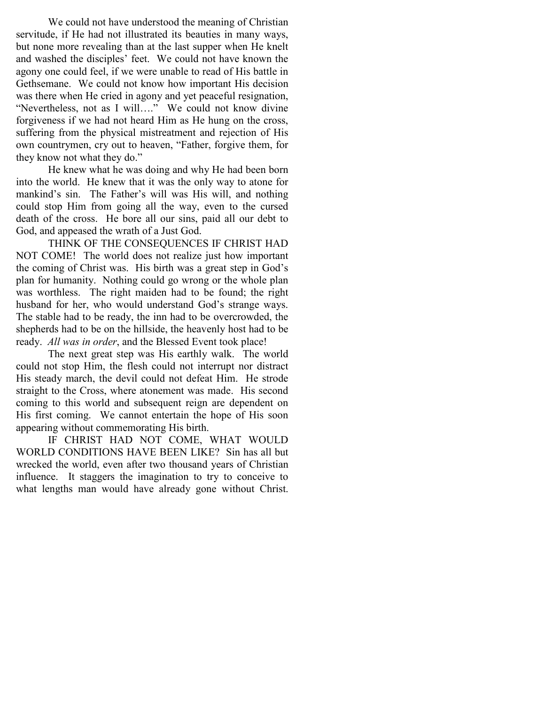We could not have understood the meaning of Christian servitude, if He had not illustrated its beauties in many ways, but none more revealing than at the last supper when He knelt and washed the disciples' feet. We could not have known the agony one could feel, if we were unable to read of His battle in Gethsemane. We could not know how important His decision was there when He cried in agony and yet peaceful resignation, "Nevertheless, not as I will…." We could not know divine forgiveness if we had not heard Him as He hung on the cross, suffering from the physical mistreatment and rejection of His own countrymen, cry out to heaven, "Father, forgive them, for they know not what they do."

 He knew what he was doing and why He had been born into the world. He knew that it was the only way to atone for mankind's sin. The Father's will was His will, and nothing could stop Him from going all the way, even to the cursed death of the cross. He bore all our sins, paid all our debt to God, and appeased the wrath of a Just God.

 THINK OF THE CONSEQUENCES IF CHRIST HAD NOT COME! The world does not realize just how important the coming of Christ was. His birth was a great step in God's plan for humanity. Nothing could go wrong or the whole plan was worthless. The right maiden had to be found; the right husband for her, who would understand God's strange ways. The stable had to be ready, the inn had to be overcrowded, the shepherds had to be on the hillside, the heavenly host had to be ready. All was in order, and the Blessed Event took place!

 The next great step was His earthly walk. The world could not stop Him, the flesh could not interrupt nor distract His steady march, the devil could not defeat Him. He strode straight to the Cross, where atonement was made. His second coming to this world and subsequent reign are dependent on His first coming. We cannot entertain the hope of His soon appearing without commemorating His birth.

 IF CHRIST HAD NOT COME, WHAT WOULD WORLD CONDITIONS HAVE BEEN LIKE? Sin has all but wrecked the world, even after two thousand years of Christian influence. It staggers the imagination to try to conceive to what lengths man would have already gone without Christ.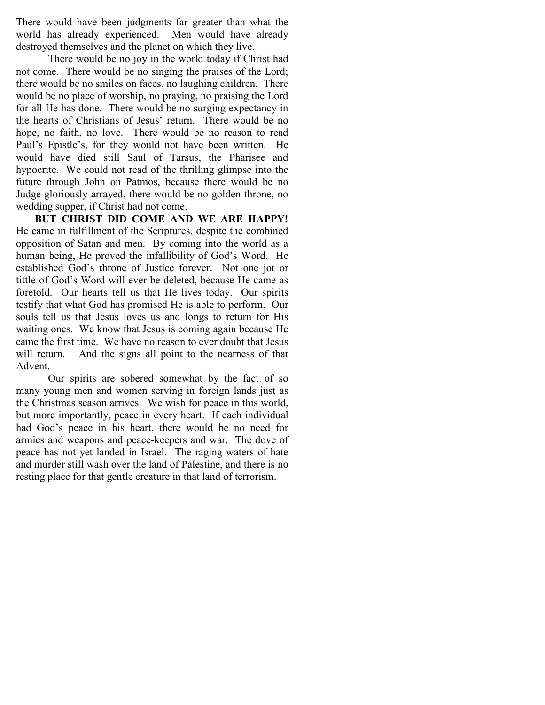There would have been judgments far greater than what the world has already experienced. Men would have already destroyed themselves and the planet on which they live.

 There would be no joy in the world today if Christ had not come. There would be no singing the praises of the Lord; there would be no smiles on faces, no laughing children. There would be no place of worship, no praying, no praising the Lord for all He has done. There would be no surging expectancy in the hearts of Christians of Jesus' return. There would be no hope, no faith, no love. There would be no reason to read Paul's Epistle's, for they would not have been written. He would have died still Saul of Tarsus, the Pharisee and hypocrite. We could not read of the thrilling glimpse into the future through John on Patmos, because there would be no Judge gloriously arrayed, there would be no golden throne, no wedding supper, if Christ had not come.

 BUT CHRIST DID COME AND WE ARE HAPPY! He came in fulfillment of the Scriptures, despite the combined opposition of Satan and men. By coming into the world as a human being, He proved the infallibility of God's Word. He established God's throne of Justice forever. Not one jot or tittle of God's Word will ever be deleted, because He came as foretold. Our hearts tell us that He lives today. Our spirits testify that what God has promised He is able to perform. Our souls tell us that Jesus loves us and longs to return for His waiting ones. We know that Jesus is coming again because He came the first time. We have no reason to ever doubt that Jesus will return. And the signs all point to the nearness of that Advent.

 Our spirits are sobered somewhat by the fact of so many young men and women serving in foreign lands just as the Christmas season arrives. We wish for peace in this world, but more importantly, peace in every heart. If each individual had God's peace in his heart, there would be no need for armies and weapons and peace-keepers and war. The dove of peace has not yet landed in Israel. The raging waters of hate and murder still wash over the land of Palestine, and there is no resting place for that gentle creature in that land of terrorism.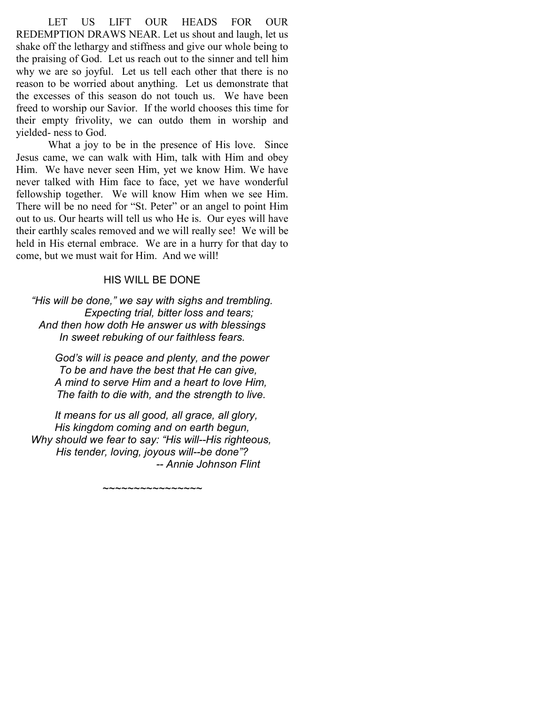LET US LIFT OUR HEADS FOR OUR REDEMPTION DRAWS NEAR. Let us shout and laugh, let us shake off the lethargy and stiffness and give our whole being to the praising of God. Let us reach out to the sinner and tell him why we are so joyful. Let us tell each other that there is no reason to be worried about anything. Let us demonstrate that the excesses of this season do not touch us. We have been freed to worship our Savior. If the world chooses this time for their empty frivolity, we can outdo them in worship and yielded- ness to God.

 What a joy to be in the presence of His love. Since Jesus came, we can walk with Him, talk with Him and obey Him. We have never seen Him, yet we know Him. We have never talked with Him face to face, yet we have wonderful fellowship together. We will know Him when we see Him. There will be no need for "St. Peter" or an angel to point Him out to us. Our hearts will tell us who He is. Our eyes will have their earthly scales removed and we will really see! We will be held in His eternal embrace. We are in a hurry for that day to come, but we must wait for Him. And we will!

### HIS WILL BE DONE

"His will be done," we say with sighs and trembling. Expecting trial, bitter loss and tears; And then how doth He answer us with blessings In sweet rebuking of our faithless fears.

 God's will is peace and plenty, and the power To be and have the best that He can give, A mind to serve Him and a heart to love Him, The faith to die with, and the strength to live.

 It means for us all good, all grace, all glory, His kingdom coming and on earth begun, Why should we fear to say: "His will--His righteous, His tender, loving, joyous will--be done"? -- Annie Johnson Flint

 $\sim$ ~~~~~~~~~~~~~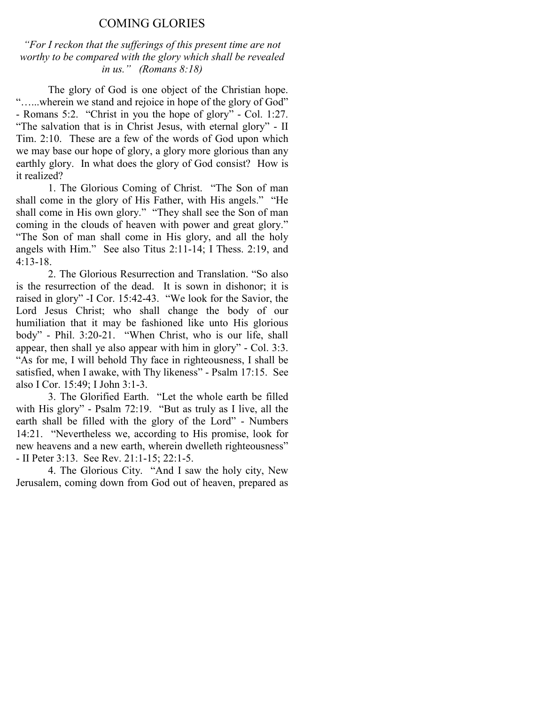### COMING GLORIES

"For I reckon that the sufferings of this present time are not worthy to be compared with the glory which shall be revealed in us." (Romans  $8:18$ )

The glory of God is one object of the Christian hope. "…...wherein we stand and rejoice in hope of the glory of God" - Romans 5:2. "Christ in you the hope of glory" - Col. 1:27. "The salvation that is in Christ Jesus, with eternal glory" - II Tim. 2:10. These are a few of the words of God upon which we may base our hope of glory, a glory more glorious than any earthly glory. In what does the glory of God consist? How is it realized?

 1. The Glorious Coming of Christ. "The Son of man shall come in the glory of His Father, with His angels." "He shall come in His own glory." "They shall see the Son of man coming in the clouds of heaven with power and great glory." "The Son of man shall come in His glory, and all the holy angels with Him." See also Titus 2:11-14; I Thess. 2:19, and 4:13-18.

 2. The Glorious Resurrection and Translation. "So also is the resurrection of the dead. It is sown in dishonor; it is raised in glory" -I Cor. 15:42-43. "We look for the Savior, the Lord Jesus Christ; who shall change the body of our humiliation that it may be fashioned like unto His glorious body" - Phil. 3:20-21. "When Christ, who is our life, shall appear, then shall ye also appear with him in glory" - Col. 3:3. "As for me, I will behold Thy face in righteousness, I shall be satisfied, when I awake, with Thy likeness" - Psalm 17:15. See also I Cor. 15:49; I John 3:1-3.

 3. The Glorified Earth. "Let the whole earth be filled with His glory" - Psalm 72:19. "But as truly as I live, all the earth shall be filled with the glory of the Lord" - Numbers 14:21. "Nevertheless we, according to His promise, look for new heavens and a new earth, wherein dwelleth righteousness" - II Peter 3:13. See Rev. 21:1-15; 22:1-5.

 4. The Glorious City. "And I saw the holy city, New Jerusalem, coming down from God out of heaven, prepared as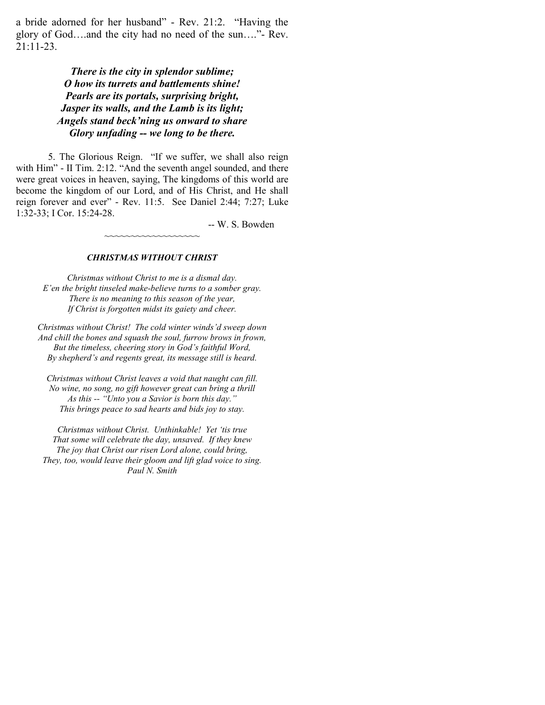a bride adorned for her husband" - Rev. 21:2. "Having the glory of God….and the city had no need of the sun…."- Rev. 21:11-23.

### There is the city in splendor sublime; O how its turrets and battlements shine! Pearls are its portals, surprising bright, Jasper its walls, and the Lamb is its light; Angels stand beck'ning us onward to share Glory unfading -- we long to be there.

5. The Glorious Reign. "If we suffer, we shall also reign with Him" - II Tim. 2:12. "And the seventh angel sounded, and there were great voices in heaven, saying, The kingdoms of this world are become the kingdom of our Lord, and of His Christ, and He shall reign forever and ever" - Rev. 11:5. See Daniel 2:44; 7:27; Luke 1:32-33; I Cor. 15:24-28.

-- W. S. Bowden

#### CHRISTMAS WITHOUT CHRIST

~~~~~~~~~~~~~~~~

Christmas without Christ to me is a dismal day. E'en the bright tinseled make-believe turns to a somber gray. There is no meaning to this season of the year, If Christ is forgotten midst its gaiety and cheer.

Christmas without Christ! The cold winter winds'd sweep down And chill the bones and squash the soul, furrow brows in frown, But the timeless, cheering story in God's faithful Word, By shepherd's and regents great, its message still is heard.

Christmas without Christ leaves a void that naught can fill. No wine, no song, no gift however great can bring a thrill As this -- "Unto you a Savior is born this day." This brings peace to sad hearts and bids joy to stay.

Christmas without Christ. Unthinkable! Yet 'tis true That some will celebrate the day, unsaved. If they knew The joy that Christ our risen Lord alone, could bring, They, too, would leave their gloom and lift glad voice to sing. Paul N. Smith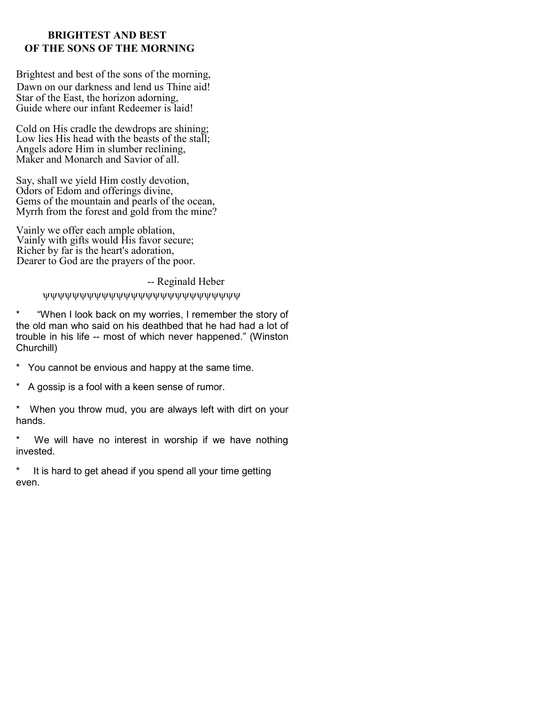### BRIGHTEST AND BEST OF THE SONS OF THE MORNING

Brightest and best of the sons of the morning, Dawn on our darkness and lend us Thine aid! Star of the East, the horizon adorning, Guide where our infant Redeemer is laid!

Cold on His cradle the dewdrops are shining; Low lies His head with the beasts of the stall; Angels adore Him in slumber reclining, Maker and Monarch and Savior of all.

Say, shall we yield Him costly devotion, Odors of Edom and offerings divine, Gems of the mountain and pearls of the ocean, Myrrh from the forest and gold from the mine?

Vainly we offer each ample oblation, Vainly with gifts would His favor secure; Richer by far is the heart's adoration, Dearer to God are the prayers of the poor.

-- Reginald Heber

ψψψψψψψψψψψψψψψψψψψψψψψψψψψ

\* "When I look back on my worries, I remember the story of the old man who said on his deathbed that he had had a lot of trouble in his life -- most of which never happened." (Winston Churchill)

- \* You cannot be envious and happy at the same time.
- \* A gossip is a fool with a keen sense of rumor.

\* When you throw mud, you are always left with dirt on your hands.

\* We will have no interest in worship if we have nothing invested.

\* It is hard to get ahead if you spend all your time getting even.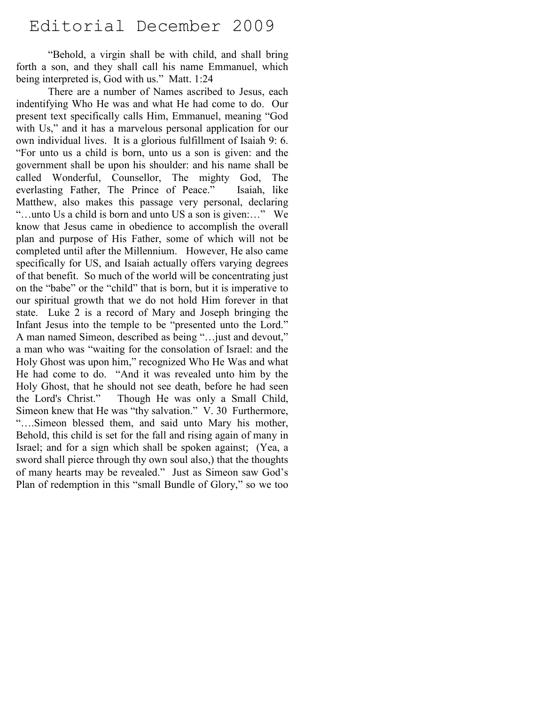# Editorial December 2009

"Behold, a virgin shall be with child, and shall bring forth a son, and they shall call his name Emmanuel, which being interpreted is, God with us." Matt. 1:24

There are a number of Names ascribed to Jesus, each indentifying Who He was and what He had come to do. Our present text specifically calls Him, Emmanuel, meaning "God with Us," and it has a marvelous personal application for our own individual lives. It is a glorious fulfillment of Isaiah 9: 6. "For unto us a child is born, unto us a son is given: and the government shall be upon his shoulder: and his name shall be called Wonderful, Counsellor, The mighty God, The everlasting Father, The Prince of Peace." Isaiah, like Matthew, also makes this passage very personal, declaring "…unto Us a child is born and unto US a son is given:…" We know that Jesus came in obedience to accomplish the overall plan and purpose of His Father, some of which will not be completed until after the Millennium. However, He also came specifically for US, and Isaiah actually offers varying degrees of that benefit. So much of the world will be concentrating just on the "babe" or the "child" that is born, but it is imperative to our spiritual growth that we do not hold Him forever in that state. Luke 2 is a record of Mary and Joseph bringing the Infant Jesus into the temple to be "presented unto the Lord." A man named Simeon, described as being "…just and devout," a man who was "waiting for the consolation of Israel: and the Holy Ghost was upon him," recognized Who He Was and what He had come to do. "And it was revealed unto him by the Holy Ghost, that he should not see death, before he had seen the Lord's Christ." Though He was only a Small Child, Simeon knew that He was "thy salvation." V. 30 Furthermore, "….Simeon blessed them, and said unto Mary his mother, Behold, this child is set for the fall and rising again of many in Israel; and for a sign which shall be spoken against; (Yea, a sword shall pierce through thy own soul also,) that the thoughts of many hearts may be revealed." Just as Simeon saw God's Plan of redemption in this "small Bundle of Glory," so we too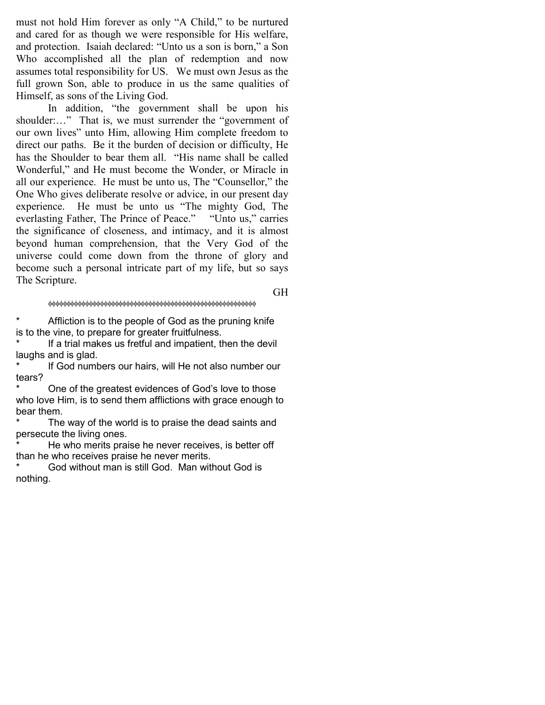must not hold Him forever as only "A Child," to be nurtured and cared for as though we were responsible for His welfare, and protection. Isaiah declared: "Unto us a son is born," a Son Who accomplished all the plan of redemption and now assumes total responsibility for US. We must own Jesus as the full grown Son, able to produce in us the same qualities of Himself, as sons of the Living God.

In addition, "the government shall be upon his shoulder:..." That is, we must surrender the "government of our own lives" unto Him, allowing Him complete freedom to direct our paths. Be it the burden of decision or difficulty, He has the Shoulder to bear them all. "His name shall be called Wonderful," and He must become the Wonder, or Miracle in all our experience. He must be unto us, The "Counsellor," the One Who gives deliberate resolve or advice, in our present day experience. He must be unto us "The mighty God, The everlasting Father, The Prince of Peace." "Unto us," carries the significance of closeness, and intimacy, and it is almost beyond human comprehension, that the Very God of the universe could come down from the throne of glory and become such a personal intricate part of my life, but so says The Scripture.

φφφφφφφφφφφφφφφφφφφφφφφφφφφφφφφφφφφφφφφφφφφφφφφφφφφφφφφφ

GH

\* Affliction is to the people of God as the pruning knife is to the vine, to prepare for greater fruitfulness.

If a trial makes us fretful and impatient, then the devil laughs and is glad.

If God numbers our hairs, will He not also number our tears?

One of the greatest evidences of God's love to those who love Him, is to send them afflictions with grace enough to bear them.

The way of the world is to praise the dead saints and persecute the living ones.

He who merits praise he never receives, is better off than he who receives praise he never merits.

God without man is still God. Man without God is nothing.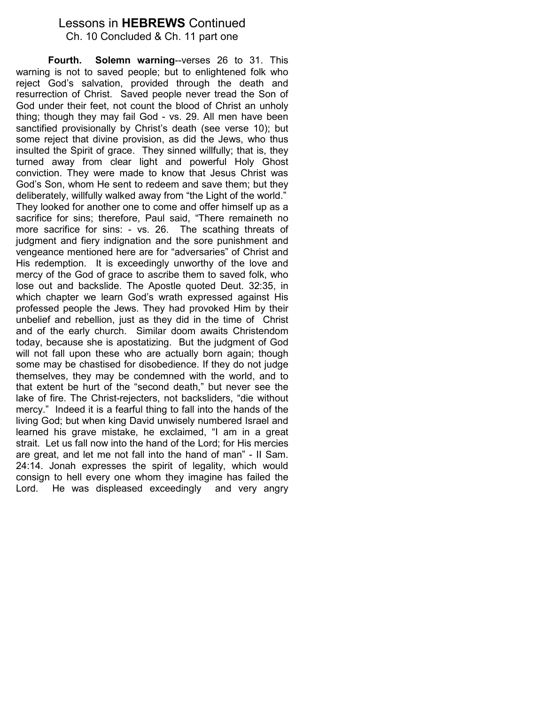## Lessons in HEBREWS Continued

Ch. 10 Concluded & Ch. 11 part one

 Fourth. Solemn warning--verses 26 to 31. This warning is not to saved people; but to enlightened folk who reject God's salvation, provided through the death and resurrection of Christ. Saved people never tread the Son of God under their feet, not count the blood of Christ an unholy thing; though they may fail God - vs. 29. All men have been sanctified provisionally by Christ's death (see verse 10); but some reject that divine provision, as did the Jews, who thus insulted the Spirit of grace. They sinned willfully; that is, they turned away from clear light and powerful Holy Ghost conviction. They were made to know that Jesus Christ was God's Son, whom He sent to redeem and save them; but they deliberately, willfully walked away from "the Light of the world." They looked for another one to come and offer himself up as a sacrifice for sins; therefore, Paul said, "There remaineth no more sacrifice for sins: - vs. 26. The scathing threats of judgment and fiery indignation and the sore punishment and vengeance mentioned here are for "adversaries" of Christ and His redemption. It is exceedingly unworthy of the love and mercy of the God of grace to ascribe them to saved folk, who lose out and backslide. The Apostle quoted Deut. 32:35, in which chapter we learn God's wrath expressed against His professed people the Jews. They had provoked Him by their unbelief and rebellion, just as they did in the time of Christ and of the early church. Similar doom awaits Christendom today, because she is apostatizing. But the judgment of God will not fall upon these who are actually born again; though some may be chastised for disobedience. If they do not judge themselves, they may be condemned with the world, and to that extent be hurt of the "second death," but never see the lake of fire. The Christ-rejecters, not backsliders, "die without mercy." Indeed it is a fearful thing to fall into the hands of the living God; but when king David unwisely numbered Israel and learned his grave mistake, he exclaimed, "I am in a great strait. Let us fall now into the hand of the Lord; for His mercies are great, and let me not fall into the hand of man" - II Sam. 24:14. Jonah expresses the spirit of legality, which would consign to hell every one whom they imagine has failed the Lord. He was displeased exceedingly and very angry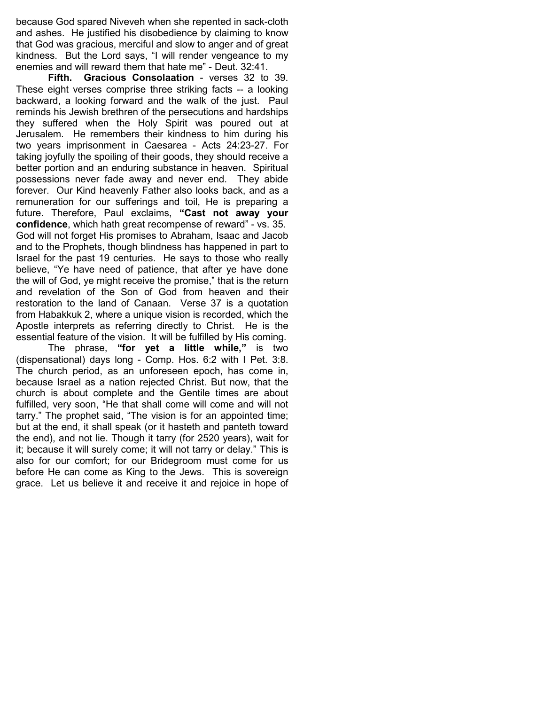because God spared Niveveh when she repented in sack-cloth and ashes. He justified his disobedience by claiming to know that God was gracious, merciful and slow to anger and of great kindness. But the Lord says, "I will render vengeance to my enemies and will reward them that hate me" - Deut. 32:41.

Fifth. Gracious Consolaation - verses 32 to 39. These eight verses comprise three striking facts -- a looking backward, a looking forward and the walk of the just. Paul reminds his Jewish brethren of the persecutions and hardships they suffered when the Holy Spirit was poured out at Jerusalem. He remembers their kindness to him during his two years imprisonment in Caesarea - Acts 24:23-27. For taking joyfully the spoiling of their goods, they should receive a better portion and an enduring substance in heaven. Spiritual possessions never fade away and never end. They abide forever. Our Kind heavenly Father also looks back, and as a remuneration for our sufferings and toil, He is preparing a future. Therefore, Paul exclaims, "Cast not away your confidence, which hath great recompense of reward" - vs. 35. God will not forget His promises to Abraham, Isaac and Jacob and to the Prophets, though blindness has happened in part to Israel for the past 19 centuries. He says to those who really believe, "Ye have need of patience, that after ye have done the will of God, ye might receive the promise," that is the return and revelation of the Son of God from heaven and their restoration to the land of Canaan. Verse 37 is a quotation from Habakkuk 2, where a unique vision is recorded, which the Apostle interprets as referring directly to Christ. He is the essential feature of the vision. It will be fulfilled by His coming.

 The phrase, "for yet a little while," is two (dispensational) days long - Comp. Hos. 6:2 with I Pet. 3:8. The church period, as an unforeseen epoch, has come in, because Israel as a nation rejected Christ. But now, that the church is about complete and the Gentile times are about fulfilled, very soon, "He that shall come will come and will not tarry." The prophet said, "The vision is for an appointed time; but at the end, it shall speak (or it hasteth and panteth toward the end), and not lie. Though it tarry (for 2520 years), wait for it; because it will surely come; it will not tarry or delay." This is also for our comfort; for our Bridegroom must come for us before He can come as King to the Jews. This is sovereign grace. Let us believe it and receive it and rejoice in hope of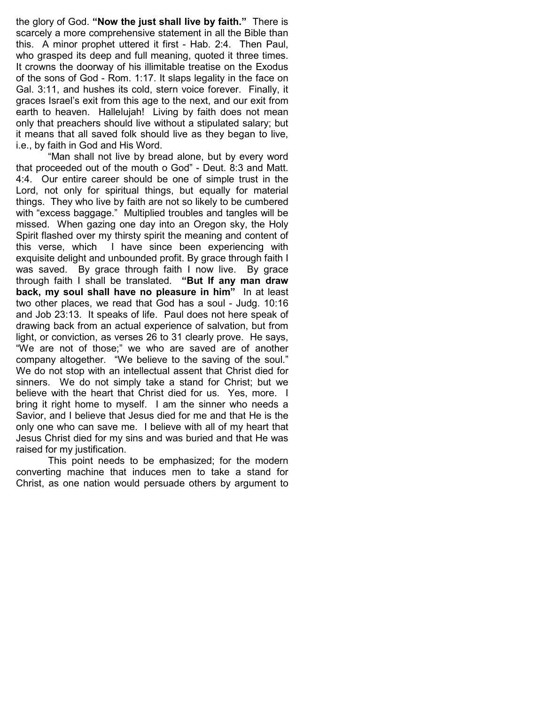the glory of God. "Now the just shall live by faith." There is scarcely a more comprehensive statement in all the Bible than this. A minor prophet uttered it first - Hab. 2:4. Then Paul, who grasped its deep and full meaning, quoted it three times. It crowns the doorway of his illimitable treatise on the Exodus of the sons of God - Rom. 1:17. It slaps legality in the face on Gal. 3:11, and hushes its cold, stern voice forever. Finally, it graces Israel's exit from this age to the next, and our exit from earth to heaven. Hallelujah! Living by faith does not mean only that preachers should live without a stipulated salary; but it means that all saved folk should live as they began to live, i.e., by faith in God and His Word.

 "Man shall not live by bread alone, but by every word that proceeded out of the mouth o God" - Deut. 8:3 and Matt. 4:4. Our entire career should be one of simple trust in the Lord, not only for spiritual things, but equally for material things. They who live by faith are not so likely to be cumbered with "excess baggage." Multiplied troubles and tangles will be missed. When gazing one day into an Oregon sky, the Holy Spirit flashed over my thirsty spirit the meaning and content of this verse, which I have since been experiencing with exquisite delight and unbounded profit. By grace through faith I was saved. By grace through faith I now live. By grace through faith I shall be translated. "But If any man draw back, my soul shall have no pleasure in him" In at least two other places, we read that God has a soul - Judg. 10:16 and Job 23:13. It speaks of life. Paul does not here speak of drawing back from an actual experience of salvation, but from light, or conviction, as verses 26 to 31 clearly prove. He says, "We are not of those;" we who are saved are of another company altogether. "We believe to the saving of the soul." We do not stop with an intellectual assent that Christ died for sinners. We do not simply take a stand for Christ; but we believe with the heart that Christ died for us. Yes, more. I bring it right home to myself. I am the sinner who needs a Savior, and I believe that Jesus died for me and that He is the only one who can save me. I believe with all of my heart that Jesus Christ died for my sins and was buried and that He was raised for my justification.

 This point needs to be emphasized; for the modern converting machine that induces men to take a stand for Christ, as one nation would persuade others by argument to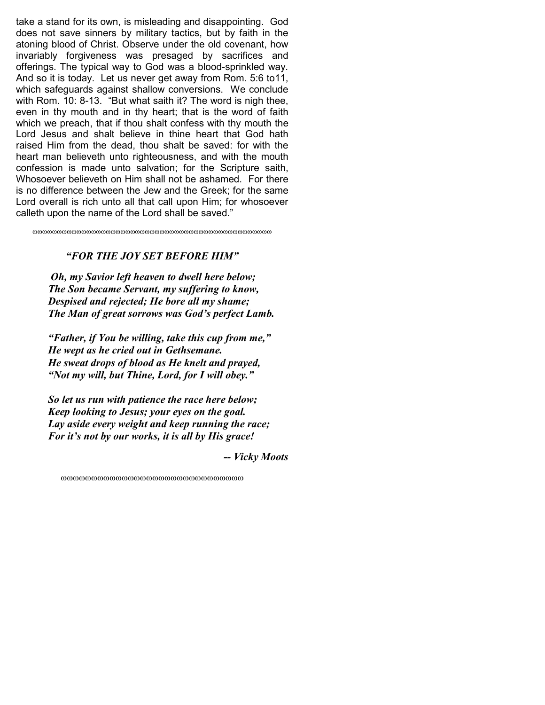take a stand for its own, is misleading and disappointing. God does not save sinners by military tactics, but by faith in the atoning blood of Christ. Observe under the old covenant, how invariably forgiveness was presaged by sacrifices and offerings. The typical way to God was a blood-sprinkled way. And so it is today. Let us never get away from Rom. 5:6 to11, which safeguards against shallow conversions. We conclude with Rom. 10: 8-13. "But what saith it? The word is nigh thee, even in thy mouth and in thy heart; that is the word of faith which we preach, that if thou shalt confess with thy mouth the Lord Jesus and shalt believe in thine heart that God hath raised Him from the dead, thou shalt be saved: for with the heart man believeth unto righteousness, and with the mouth confession is made unto salvation; for the Scripture saith, Whosoever believeth on Him shall not be ashamed. For there is no difference between the Jew and the Greek; for the same Lord overall is rich unto all that call upon Him; for whosoever calleth upon the name of the Lord shall be saved."

ωωωωωωωωωωωωωωωωωωωωωωωωωωωωωωωωωωωωωωωωωωωωωωωωω

### "FOR THE JOY SET BEFORE HIM"

 Oh, my Savior left heaven to dwell here below; The Son became Servant, my suffering to know, Despised and rejected; He bore all my shame; The Man of great sorrows was God's perfect Lamb.

 "Father, if You be willing, take this cup from me," He wept as he cried out in Gethsemane. He sweat drops of blood as He knelt and prayed, "Not my will, but Thine, Lord, for I will obey."

 So let us run with patience the race here below; Keep looking to Jesus; your eyes on the goal. Lay aside every weight and keep running the race; For it's not by our works, it is all by His grace!

-- Vicky Moots

ωωωωωωωωωωωωωωωωωωωωωωωωωωωωωω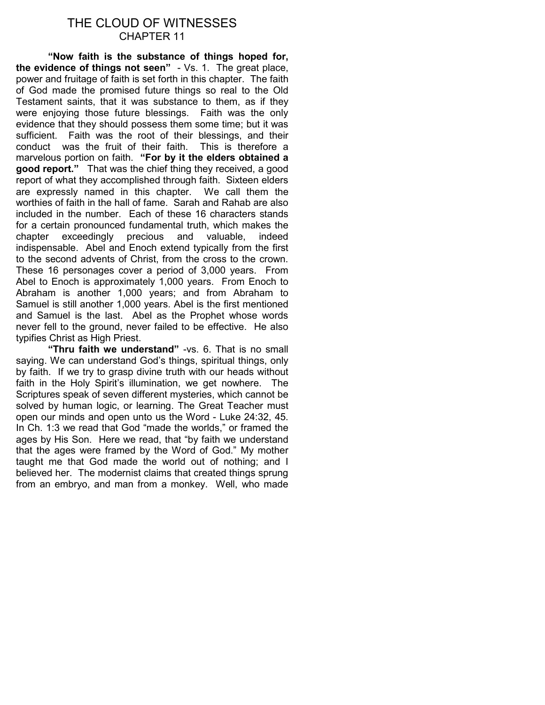### THE CLOUD OF WITNESSES CHAPTER 11

"Now faith is the substance of things hoped for, the evidence of things not seen" - Vs. 1. The great place, power and fruitage of faith is set forth in this chapter. The faith of God made the promised future things so real to the Old Testament saints, that it was substance to them, as if they were enjoying those future blessings. Faith was the only evidence that they should possess them some time; but it was sufficient. Faith was the root of their blessings, and their conduct was the fruit of their faith. This is therefore a marvelous portion on faith. "For by it the elders obtained a good report." That was the chief thing they received, a good report of what they accomplished through faith. Sixteen elders are expressly named in this chapter. We call them the worthies of faith in the hall of fame. Sarah and Rahab are also included in the number. Each of these 16 characters stands for a certain pronounced fundamental truth, which makes the chapter exceedingly precious and valuable, indeed indispensable. Abel and Enoch extend typically from the first to the second advents of Christ, from the cross to the crown. These 16 personages cover a period of 3,000 years. From Abel to Enoch is approximately 1,000 years. From Enoch to Abraham is another 1,000 years; and from Abraham to Samuel is still another 1,000 years. Abel is the first mentioned and Samuel is the last. Abel as the Prophet whose words never fell to the ground, never failed to be effective. He also typifies Christ as High Priest.

"Thru faith we understand" - vs. 6. That is no small saying. We can understand God's things, spiritual things, only by faith. If we try to grasp divine truth with our heads without faith in the Holy Spirit's illumination, we get nowhere. The Scriptures speak of seven different mysteries, which cannot be solved by human logic, or learning. The Great Teacher must open our minds and open unto us the Word - Luke 24:32, 45. In Ch. 1:3 we read that God "made the worlds," or framed the ages by His Son. Here we read, that "by faith we understand that the ages were framed by the Word of God." My mother taught me that God made the world out of nothing; and I believed her. The modernist claims that created things sprung from an embryo, and man from a monkey. Well, who made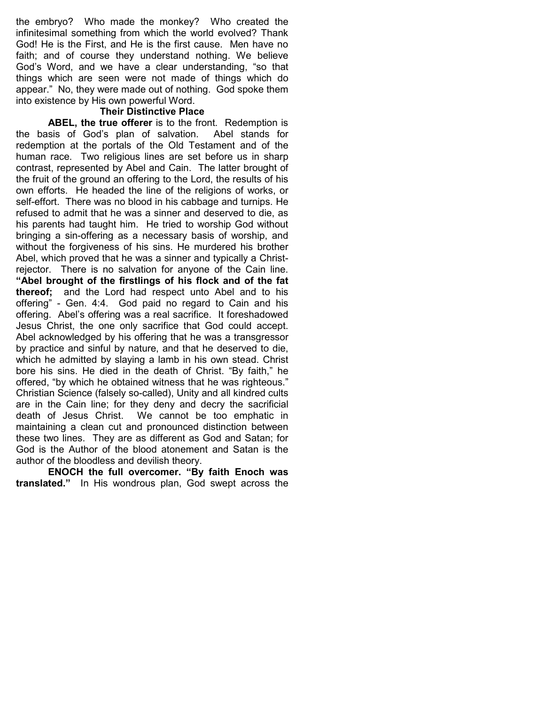the embryo? Who made the monkey? Who created the infinitesimal something from which the world evolved? Thank God! He is the First, and He is the first cause. Men have no faith; and of course they understand nothing. We believe God's Word, and we have a clear understanding, "so that things which are seen were not made of things which do appear." No, they were made out of nothing. God spoke them into existence by His own powerful Word.

### Their Distinctive Place

ABEL, the true offerer is to the front. Redemption is the basis of God's plan of salvation. Abel stands for redemption at the portals of the Old Testament and of the human race. Two religious lines are set before us in sharp contrast, represented by Abel and Cain. The latter brought of the fruit of the ground an offering to the Lord, the results of his own efforts. He headed the line of the religions of works, or self-effort. There was no blood in his cabbage and turnips. He refused to admit that he was a sinner and deserved to die, as his parents had taught him. He tried to worship God without bringing a sin-offering as a necessary basis of worship, and without the forgiveness of his sins. He murdered his brother Abel, which proved that he was a sinner and typically a Christrejector. There is no salvation for anyone of the Cain line. "Abel brought of the firstlings of his flock and of the fat thereof; and the Lord had respect unto Abel and to his offering" - Gen. 4:4. God paid no regard to Cain and his offering. Abel's offering was a real sacrifice. It foreshadowed Jesus Christ, the one only sacrifice that God could accept. Abel acknowledged by his offering that he was a transgressor by practice and sinful by nature, and that he deserved to die, which he admitted by slaying a lamb in his own stead. Christ bore his sins. He died in the death of Christ. "By faith," he offered, "by which he obtained witness that he was righteous." Christian Science (falsely so-called), Unity and all kindred cults are in the Cain line; for they deny and decry the sacrificial death of Jesus Christ. We cannot be too emphatic in maintaining a clean cut and pronounced distinction between these two lines. They are as different as God and Satan; for God is the Author of the blood atonement and Satan is the author of the bloodless and devilish theory.

ENOCH the full overcomer. "By faith Enoch was translated." In His wondrous plan, God swept across the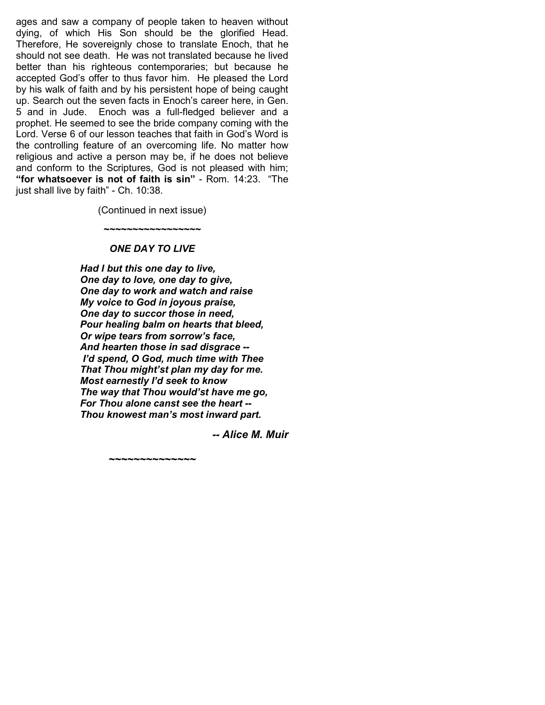ages and saw a company of people taken to heaven without dying, of which His Son should be the glorified Head. Therefore, He sovereignly chose to translate Enoch, that he should not see death. He was not translated because he lived better than his righteous contemporaries; but because he accepted God's offer to thus favor him. He pleased the Lord by his walk of faith and by his persistent hope of being caught up. Search out the seven facts in Enoch's career here, in Gen. 5 and in Jude. Enoch was a full-fledged believer and a prophet. He seemed to see the bride company coming with the Lord. Verse 6 of our lesson teaches that faith in God's Word is the controlling feature of an overcoming life. No matter how religious and active a person may be, if he does not believe and conform to the Scriptures, God is not pleased with him; "for whatsoever is not of faith is sin" - Rom. 14:23. "The just shall live by faith" - Ch. 10:38.

(Continued in next issue)

~~~~~~~~~~~~~~~~~

#### ONE DAY TO LIVE

~~~~~~~~~~~~~~

 Had I but this one day to live, One day to love, one day to give, One day to work and watch and raise My voice to God in joyous praise, One day to succor those in need, Pour healing balm on hearts that bleed, Or wipe tears from sorrow's face, And hearten those in sad disgrace -- I'd spend, O God, much time with Thee That Thou might'st plan my day for me. Most earnestly I'd seek to know The way that Thou would'st have me go, For Thou alone canst see the heart -- Thou knowest man's most inward part.

-- Alice M. Muir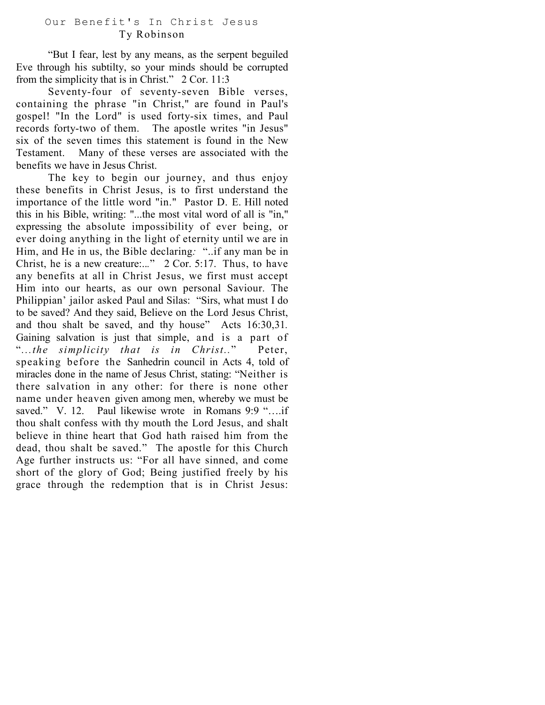### Our Benefit's In Christ Jesus Ty Robinson

"But I fear, lest by any means, as the serpent beguiled Eve through his subtilty, so your minds should be corrupted from the simplicity that is in Christ." 2 Cor. 11:3

Seventy-four of seventy-seven Bible verses, containing the phrase "in Christ," are found in Paul's gospel! "In the Lord" is used forty-six times, and Paul records forty-two of them. The apostle writes "in Jesus" six of the seven times this statement is found in the New Testament. Many of these verses are associated with the benefits we have in Jesus Christ.

The key to begin our journey, and thus enjoy these benefits in Christ Jesus, is to first understand the importance of the little word "in." Pastor D. E. Hill noted this in his Bible, writing: "...the most vital word of all is "in," expressing the absolute impossibility of ever being, or ever doing anything in the light of eternity until we are in Him, and He in us, the Bible declaring: "..if any man be in Christ, he is a new creature:..." 2 Cor. 5:17. Thus, to have any benefits at all in Christ Jesus, we first must accept Him into our hearts, as our own personal Saviour. The Philippian' jailor asked Paul and Silas: "Sirs, what must I do to be saved? And they said, Believe on the Lord Jesus Christ, and thou shalt be saved, and thy house" Acts 16:30,31. Gaining salvation is just that simple, and is a part of "...the simplicity that is in Christ.." Peter, speaking before the Sanhedrin council in Acts 4, told of miracles done in the name of Jesus Christ, stating: "Neither is there salvation in any other: for there is none other name under heaven given among men, whereby we must be saved." V. 12. Paul likewise wrote in Romans 9:9 "....if thou shalt confess with thy mouth the Lord Jesus, and shalt believe in thine heart that God hath raised him from the dead, thou shalt be saved." The apostle for this Church Age further instructs us: "For all have sinned, and come short of the glory of God; Being justified freely by his grace through the redemption that is in Christ Jesus: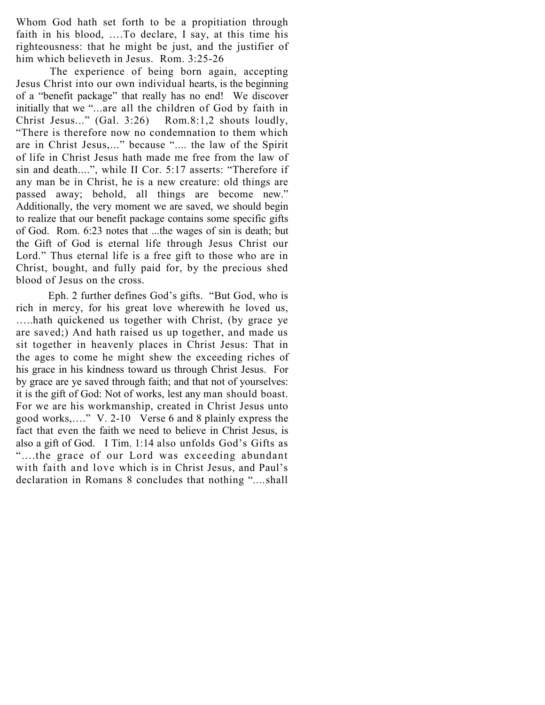Whom God hath set forth to be a propitiation through faith in his blood, ….To declare, I say, at this time his righteousness: that he might be just, and the justifier of him which believeth in Jesus. Rom. 3:25-26

 The experience of being born again, accepting Jesus Christ into our own individual hearts, is the beginning of a "benefit package" that really has no end! We discover initially that we "...are all the children of God by faith in Christ Jesus..." (Gal. 3:26) Rom.8:1,2 shouts loudly, "There is therefore now no condemnation to them which are in Christ Jesus,..." because ".... the law of the Spirit of life in Christ Jesus hath made me free from the law of sin and death....", while II Cor. 5:17 asserts: "Therefore if any man be in Christ, he is a new creature: old things are passed away; behold, all things are become new." Additionally, the very moment we are saved, we should begin to realize that our benefit package contains some specific gifts of God. Rom. 6:23 notes that ...the wages of sin is death; but the Gift of God is eternal life through Jesus Christ our Lord." Thus eternal life is a free gift to those who are in Christ, bought, and fully paid for, by the precious shed blood of Jesus on the cross.

Eph. 2 further defines God's gifts. "But God, who is rich in mercy, for his great love wherewith he loved us, …..hath quickened us together with Christ, (by grace ye are saved;) And hath raised us up together, and made us sit together in heavenly places in Christ Jesus: That in the ages to come he might shew the exceeding riches of his grace in his kindness toward us through Christ Jesus. For by grace are ye saved through faith; and that not of yourselves: it is the gift of God: Not of works, lest any man should boast. For we are his workmanship, created in Christ Jesus unto good works,…." V. 2-10 Verse 6 and 8 plainly express the fact that even the faith we need to believe in Christ Jesus, is also a gift of God. I Tim. 1:14 also unfolds God's Gifts as "….the grace of our Lord was exceeding abundant with faith and love which is in Christ Jesus, and Paul's declaration in Romans 8 concludes that nothing "....shall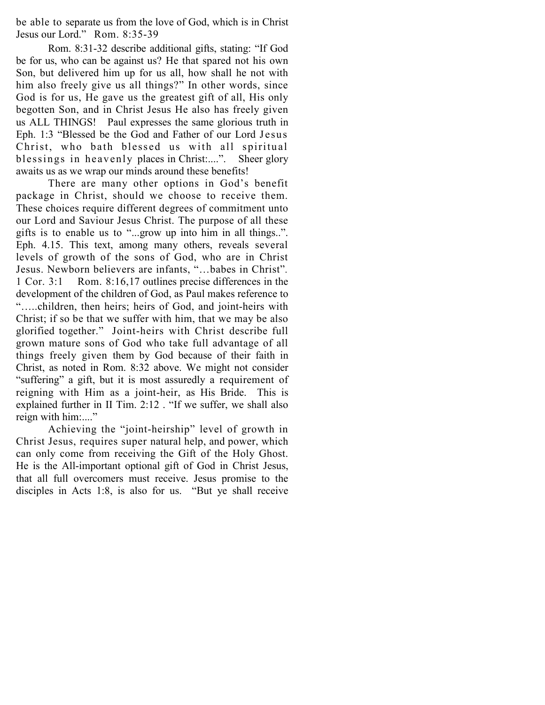be able to separate us from the love of God, which is in Christ Jesus our Lord." Rom. 8:35-39

Rom. 8:31-32 describe additional gifts, stating: "If God be for us, who can be against us? He that spared not his own Son, but delivered him up for us all, how shall he not with him also freely give us all things?" In other words, since God is for us, He gave us the greatest gift of all, His only begotten Son, and in Christ Jesus He also has freely given us ALL THINGS! Paul expresses the same glorious truth in Eph. 1:3 "Blessed be the God and Father of our Lord Jesus Christ, who bath blessed us with all spiritual blessings in heavenly places in Christ:....". Sheer glory awaits us as we wrap our minds around these benefits!

There are many other options in God's benefit package in Christ, should we choose to receive them. These choices require different degrees of commitment unto our Lord and Saviour Jesus Christ. The purpose of all these gifts is to enable us to "...grow up into him in all things..". Eph. 4.15. This text, among many others, reveals several levels of growth of the sons of God, who are in Christ Jesus. Newborn believers are infants, "…babes in Christ". 1 Cor. 3:1 Rom. 8:16,17 outlines precise differences in the development of the children of God, as Paul makes reference to "…..children, then heirs; heirs of God, and joint-heirs with Christ; if so be that we suffer with him, that we may be also glorified together." Joint-heirs with Christ describe full grown mature sons of God who take full advantage of all things freely given them by God because of their faith in Christ, as noted in Rom. 8:32 above. We might not consider "suffering" a gift, but it is most assuredly a requirement of reigning with Him as a joint-heir, as His Bride. This is explained further in II Tim. 2:12 . "If we suffer, we shall also reign with him:...."

Achieving the "joint-heirship" level of growth in Christ Jesus, requires super natural help, and power, which can only come from receiving the Gift of the Holy Ghost. He is the All-important optional gift of God in Christ Jesus, that all full overcomers must receive. Jesus promise to the disciples in Acts 1:8, is also for us. "But ye shall receive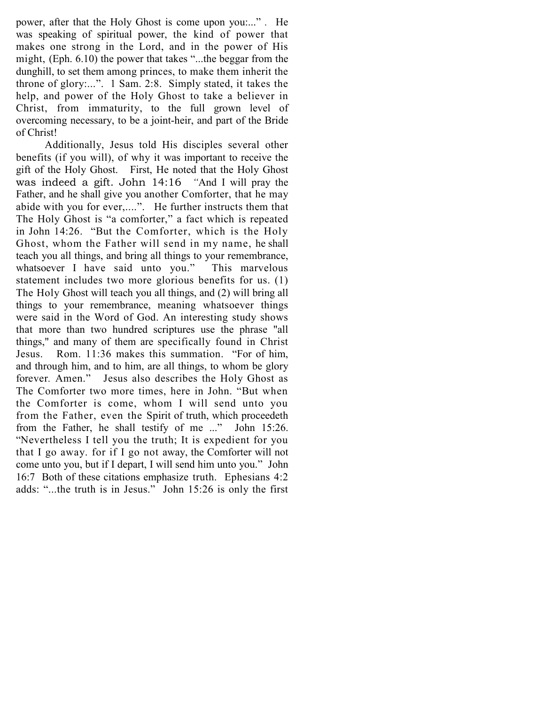power, after that the Holy Ghost is come upon you:..." . He was speaking of spiritual power, the kind of power that makes one strong in the Lord, and in the power of His might, (Eph. 6.10) the power that takes "...the beggar from the dunghill, to set them among princes, to make them inherit the throne of glory:...". 1 Sam. 2:8. Simply stated, it takes the help, and power of the Holy Ghost to take a believer in Christ, from immaturity, to the full grown level of overcoming necessary, to be a joint-heir, and part of the Bride of Christ!

Additionally, Jesus told His disciples several other benefits (if you will), of why it was important to receive the gift of the Holy Ghost. First, He noted that the Holy Ghost was indeed a gift. John 14:16 "And I will pray the Father, and he shall give you another Comforter, that he may abide with you for ever,....". He further instructs them that The Holy Ghost is "a comforter," a fact which is repeated in John 14:26. "But the Comforter, which is the Holy Ghost, whom the Father will send in my name, he shall teach you all things, and bring all things to your remembrance, whatsoever I have said unto you." This marvelous statement includes two more glorious benefits for us. (1) The Holy Ghost will teach you all things, and (2) will bring all things to your remembrance, meaning whatsoever things were said in the Word of God. An interesting study shows that more than two hundred scriptures use the phrase "all things," and many of them are specifically found in Christ Jesus. Rom. 11:36 makes this summation. "For of him, and through him, and to him, are all things, to whom be glory forever. Amen." Jesus also describes the Holy Ghost as The Comforter two more times, here in John. "But when the Comforter is come, whom I will send unto you from the Father, even the Spirit of truth, which proceedeth from the Father, he shall testify of me ..." John 15:26. "Nevertheless I tell you the truth; It is expedient for you that I go away. for if I go not away, the Comforter will not come unto you, but if I depart, I will send him unto you." John 16:7 Both of these citations emphasize truth. Ephesians 4:2 adds: "...the truth is in Jesus." John 15:26 is only the first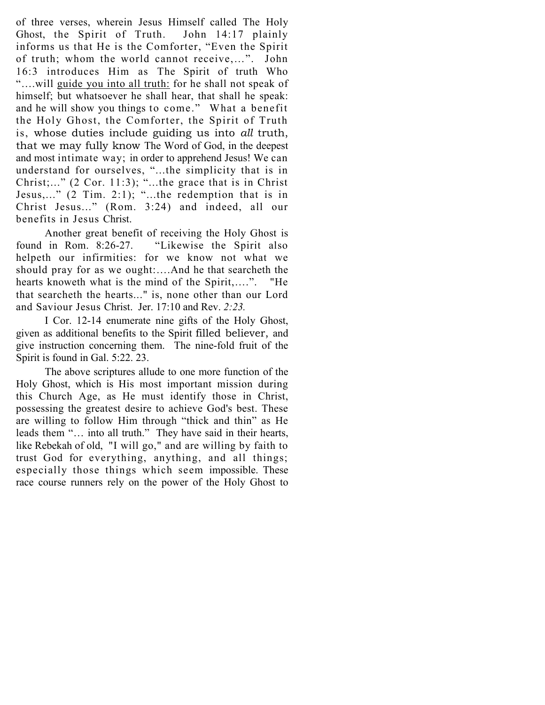of three verses, wherein Jesus Himself called The Holy Ghost, the Spirit of Truth. John 14:17 plainly informs us that He is the Comforter, "Even the Spirit of truth; whom the world cannot receive,…". John 16:3 introduces Him as The Spirit of truth Who "….will guide you into all truth: for he shall not speak of himself; but whatsoever he shall hear, that shall he speak: and he will show you things to come." What a benefit the Holy Ghost, the Comforter, the Spirit of Truth is, whose duties include guiding us into all truth, that we may fully know The Word of God, in the deepest and most intimate way; in order to apprehend Jesus! We can understand for ourselves, "...the simplicity that is in Christ;..."  $(2 \text{ Cor. } 11:3)$ ; "...the grace that is in Christ Jesus,..." (2 Tim. 2:1); "...the redemption that is in Christ Jesus..." (Rom. 3:24) and indeed, all our benefits in Jesus Christ.

Another great benefit of receiving the Holy Ghost is found in Rom. 8:26-27. "Likewise the Spirit also helpeth our infirmities: for we know not what we should pray for as we ought:….And he that searcheth the hearts knoweth what is the mind of the Spirit,….". "He that searcheth the hearts..." is, none other than our Lord and Saviour Jesus Christ. Jer. 17:10 and Rev. 2:23.

I Cor. 12-14 enumerate nine gifts of the Holy Ghost, given as additional benefits to the Spirit filled believer, and give instruction concerning them. The nine-fold fruit of the Spirit is found in Gal. 5:22. 23.

The above scriptures allude to one more function of the Holy Ghost, which is His most important mission during this Church Age, as He must identify those in Christ, possessing the greatest desire to achieve God's best. These are willing to follow Him through "thick and thin" as He leads them "… into all truth." They have said in their hearts, like Rebekah of old, "I will go," and are willing by faith to trust God for everything, anything, and all things; especially those things which seem impossible. These race course runners rely on the power of the Holy Ghost to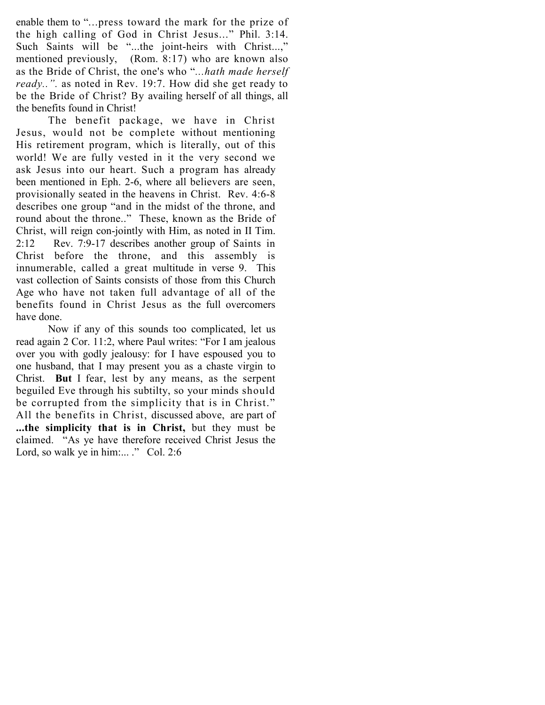enable them to "...press toward the mark for the prize of the high calling of God in Christ Jesus..." Phil. 3:14. Such Saints will be "...the joint-heirs with Christ...," mentioned previously, (Rom. 8:17) who are known also as the Bride of Christ, the one's who "...hath made herself ready..". as noted in Rev. 19:7. How did she get ready to be the Bride of Christ? By availing herself of all things, all the benefits found in Christ!

The benefit package, we have in Christ Jesus, would not be complete without mentioning His retirement program, which is literally, out of this world! We are fully vested in it the very second we ask Jesus into our heart. Such a program has already been mentioned in Eph. 2-6, where all believers are seen, provisionally seated in the heavens in Christ. Rev. 4:6-8 describes one group "and in the midst of the throne, and round about the throne.." These, known as the Bride of Christ, will reign con-jointly with Him, as noted in II Tim. 2:12 Rev. 7:9-17 describes another group of Saints in Christ before the throne, and this assembly is innumerable, called a great multitude in verse 9. This vast collection of Saints consists of those from this Church Age who have not taken full advantage of all of the benefits found in Christ Jesus as the full overcomers have done.

Now if any of this sounds too complicated, let us read again 2 Cor. 11:2, where Paul writes: "For I am jealous over you with godly jealousy: for I have espoused you to one husband, that I may present you as a chaste virgin to Christ. But I fear, lest by any means, as the serpent beguiled Eve through his subtilty, so your minds should be corrupted from the simplicity that is in Christ." All the benefits in Christ, discussed above, are part of ...the simplicity that is in Christ, but they must be claimed. "As ye have therefore received Christ Jesus the Lord, so walk ye in him:... ." Col. 2:6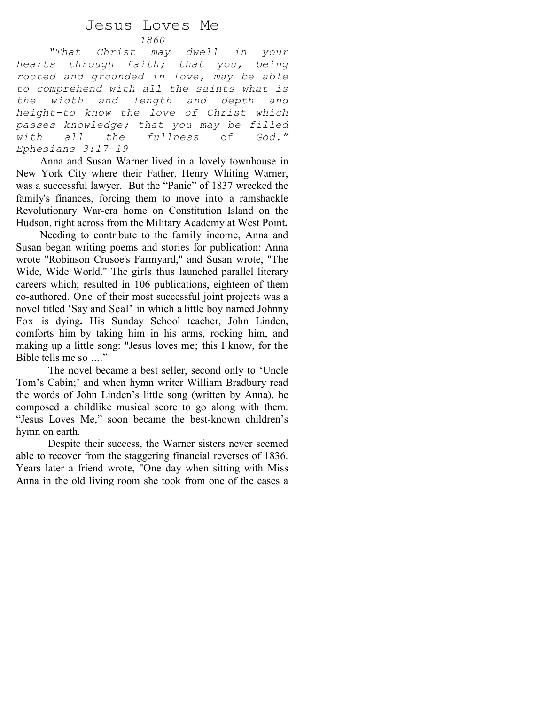## Jesus Loves Me

### 1860

"That Christ may dwell in your hearts through faith; that you, being rooted and grounded in love, may be able to comprehend with all the saints what is the width and length and depth and height-to know the love of Christ which passes knowledge; that you may be filled with all the fullness of God." Ephesians 3:17-19

 Anna and Susan Warner lived in a lovely townhouse in New York City where their Father, Henry Whiting Warner, was a successful lawyer. But the "Panic" of 1837 wrecked the family's finances, forcing them to move into a ramshackle Revolutionary War-era home on Constitution Island on the Hudson, right across from the Military Academy at West Point.

 Needing to contribute to the family income, Anna and Susan began writing poems and stories for publication: Anna wrote "Robinson Crusoe's Farmyard," and Susan wrote, "The Wide, Wide World." The girls thus launched parallel literary careers which; resulted in 106 publications, eighteen of them co-authored. One of their most successful joint projects was a novel titled 'Say and Seal' in which a little boy named Johnny Fox is dying. His Sunday School teacher, John Linden, comforts him by taking him in his arms, rocking him, and making up a little song: "Jesus loves me; this I know, for the Bible tells me so ..."

The novel became a best seller, second only to 'Uncle Tom's Cabin;' and when hymn writer William Bradbury read the words of John Linden's little song (written by Anna), he composed a childlike musical score to go along with them. "Jesus Loves Me," soon became the best-known children's hymn on earth.

Despite their success, the Warner sisters never seemed able to recover from the staggering financial reverses of 1836. Years later a friend wrote, "One day when sitting with Miss Anna in the old living room she took from one of the cases a